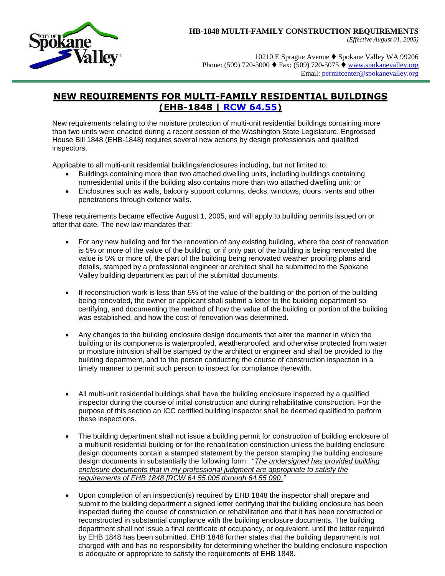

## **HB-1848 MULTI-FAMILY CONSTRUCTION REQUIREMENTS**

*(Effective August 01, 2005)*

10210 E Sprague Avenue Spokane Valley WA 99206 Phone: (509) 720-5000  $\blacklozenge$  Fax: (509) 720-5075  $\blacklozenge$  [www.spokanevalley.org](http://www.spokanevalley.org/) Email: [permitcenter@spokanevalley.org](mailto:permitcenter@spokanevalley.org)

## **NEW REQUIREMENTS FOR MULTI-FAMILY RESIDENTIAL BUILDINGS (EHB-1848 | [RCW 64.55\)](https://app.leg.wa.gov/rcw/default.aspx?cite=64.55)**

New requirements relating to the moisture protection of multi-unit residential buildings containing more than two units were enacted during a recent session of the Washington State Legislature. Engrossed House Bill 1848 (EHB-1848) requires several new actions by design professionals and qualified inspectors.

Applicable to all multi-unit residential buildings/enclosures including, but not limited to:

- Buildings containing more than two attached dwelling units, including buildings containing nonresidential units if the building also contains more than two attached dwelling unit; or
- Enclosures such as walls, balcony support columns, decks, windows, doors, vents and other penetrations through exterior walls.

These requirements became effective August 1, 2005, and will apply to building permits issued on or after that date. The new law mandates that:

- For any new building and for the renovation of any existing building, where the cost of renovation is 5% or more of the value of the building, or if only part of the building is being renovated the value is 5% or more of, the part of the building being renovated weather proofing plans and details, stamped by a professional engineer or architect shall be submitted to the Spokane Valley building department as part of the submittal documents.
- If reconstruction work is less than 5% of the value of the building or the portion of the building being renovated, the owner or applicant shall submit a letter to the building department so certifying, and documenting the method of how the value of the building or portion of the building was established, and how the cost of renovation was determined.
- Any changes to the building enclosure design documents that alter the manner in which the building or its components is waterproofed, weatherproofed, and otherwise protected from water or moisture intrusion shall be stamped by the architect or engineer and shall be provided to the building department, and to the person conducting the course of construction inspection in a timely manner to permit such person to inspect for compliance therewith.
- All multi-unit residential buildings shall have the building enclosure inspected by a qualified inspector during the course of initial construction and during rehabilitative construction. For the purpose of this section an ICC certified building inspector shall be deemed qualified to perform these inspections.
- The building department shall not issue a building permit for construction of building enclosure of a multiunit residential building or for the rehabilitation construction unless the building enclosure design documents contain a stamped statement by the person stamping the building enclosure design documents in substantially the following form: "*The undersigned has provided building enclosure documents that in my professional judgment are appropriate to satisfy the requirements of EHB 1848 [RCW 64.55.005 through 64.55.090."*
- Upon completion of an inspection(s) required by EHB 1848 the inspector shall prepare and submit to the building department a signed letter certifying that the building enclosure has been inspected during the course of construction or rehabilitation and that it has been constructed or reconstructed in substantial compliance with the building enclosure documents. The building department shall not issue a final certificate of occupancy, or equivalent, until the letter required by EHB 1848 has been submitted. EHB 1848 further states that the building department is not charged with and has no responsibility for determining whether the building enclosure inspection is adequate or appropriate to satisfy the requirements of EHB 1848.